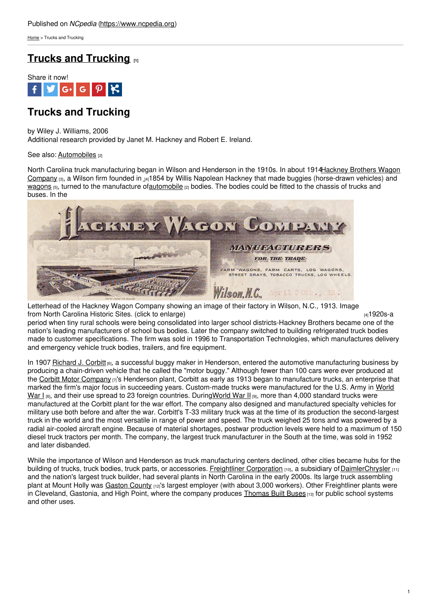[Home](https://www.ncpedia.org/) > Trucks and Trucking

## **Trucks and [Trucking](https://www.ncpedia.org/trucks-and-trucking) [1]**



# **Trucks and Trucking**

by Wiley J. Williams, 2006

Additional research provided by Janet M. Hackney and Robert E. Ireland.

See also: [Automobiles](https://www.ncpedia.org/automobiles) [2]

North Carolina truck [manufacturing](https://www.ncdcr.gov/about/history/division-historical-resources/nc-highway-historical-marker-program/Markers.aspx?sp=Markers&k=Markers&sv=F-69) began in Wilson and Henderson in the 1910s. In about 1914Hackney Brothers Wagon Company [3], a Wilson firm founded in 141854 by Willis Napolean Hackney that made buggies (horse-drawn vehicles) and [wagons](https://www.ncpedia.org/road-wagons)  $[5]$ , turned to the manufacture [of](http://www.social9.com) [automobile](https://www.ncpedia.org/automobiles)  $[2]$  bodies. The bodies could be fitted to the chassis of trucks and buses. In the



Letterhead of the Hackney Wagon Company showing an image of their factory in Wilson, N.C., 1913. Image from North [Carolina](https://www.ncpedia.org/sites/default/files/Trucks_and_Trucking__Hackney_Wagon_Co_Museum_of_History.jpg) Historic Sites. (click to enlarge) [4] north care and the state of the state of the state of the state of the state of the state of the state of the state of the state of the state of the state of the s

period when tiny rural schools were being consolidated into larger school districts-Hackney Brothers became one of the nation's leading manufacturers of school bus bodies. Later the company switched to building refrigerated truck bodies made to customer specifications. The firm was sold in 1996 to Transportation Technologies, which manufactures delivery and emergency vehicle truck bodies, trailers, and fire equipment.

In 1907 [Richard](https://www.ncpedia.org/biography/corbitt-richard-johnson) J. Corbitt [6], a successful buggy maker in Henderson, entered the automotive manufacturing business by producing a chain-driven vehicle that he called the "motor buggy." Although fewer than 100 cars were ever produced at the Corbitt Motor [Company](https://www.ncdcr.gov/about/history/division-historical-resources/nc-highway-historical-marker-program/Markers.aspx?ct=ddl&sp=search&k=Markers&sv=G-121) [7]'s Henderson plant, Corbitt as early as 1913 began to manufacture trucks, an enterprise that marked the firm's major focus in succeeding years. [Custom-made](https://www.ncpedia.org/world-war-i) trucks were manufactured for the U.S. Army in World War I [8], and their use spread to 23 foreign countries. During World War II [9], more than 4,000 standard trucks were manufactured at the Corbitt plant for the war effort. The company also designed and manufactured specialty vehicles for military use both before and after the war. Corbitt's T-33 military truck was at the time of its production the second-largest truck in the world and the most versatile in range of power and speed. The truck weighed 25 tons and was powered by a radial air-cooled aircraft engine. Because of material shortages, postwar production levels were held to a maximum of 150 diesel truck tractors per month. The company, the largest truck manufacturer in the South at the time, was sold in 1952 and later disbanded.

While the importance of Wilson and Henderson as truck manufacturing centers declined, other cities became hubs for the building of trucks, truck bodies, truck parts, or accessories. Freightliner [Corporation](http://www.freightlinertrucks.com/) [10], a subsidiary of [DaimlerChrysler](http://www.daimler.com/) [11] and the nation's largest truck builder, had several plants in North Carolina in the early 2000s. Its large truck assembling plant at Mount Holly was [Gaston](https://www.ncpedia.org/geography/gaston) County [12]'s largest employer (with about 3,000 workers). Other Freightliner plants were in Cleveland, Gastonia, and High Point, where the company produces [Thomas](https://www.ncpedia.org/thomas-built-buses-inc) Built Buses [13] for public school systems and other uses.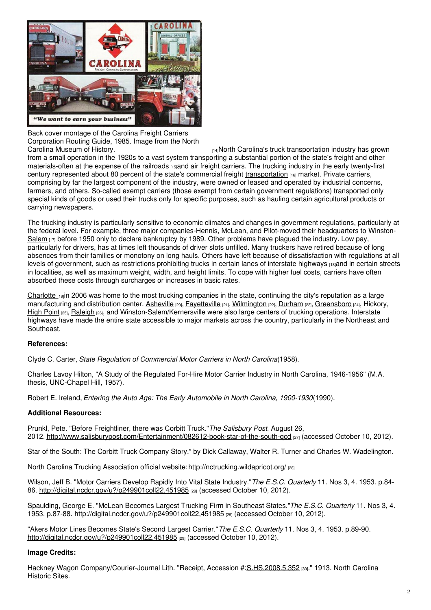

Back cover montage of the Carolina Freight Carriers Corporation Routing Guide, 1985. Image from the North

 $H_1$ <sub>14</sub> North Carolina's truck transportation industry has grown from a small operation in the 1920s to a vast system transporting a substantial portion of the state's freight and other materials-often at the expense of the [railroads](https://www.ncpedia.org/railroads) [15]and air freight carriers. The trucking industry in the early twenty-first century represented about 80 percent of the state's commercial freight [transportation](https://www.ncpedia.org/transportation) [16] market. Private carriers, comprising by far the largest component of the industry, were owned or leased and operated by industrial concerns, farmers, and others. So-called exempt carriers (those exempt from certain government regulations) transported only special kinds of goods or used their trucks only for specific purposes, such as hauling certain agricultural products or carrying newspapers.

The trucking industry is particularly sensitive to economic climates and changes in government regulations, particularly at the federal level. For example, three major [companies-Hennis,](https://www.ncpedia.org/geography/winston-salem) McLean, and Pilot-moved their headquarters to Winston-Salem [17] before 1950 only to declare bankruptcy by 1989. Other problems have plagued the industry. Low pay, particularly for drivers, has at times left thousands of driver slots unfilled. Many truckers have retired because of long absences from their families or monotony on long hauls. Others have left because of dissatisfaction with regulations at all levels of government, such as restrictions prohibiting trucks in certain lanes of interstate [highways](https://www.ncpedia.org/highways) realigned in certain streets in localities, as well as maximum weight, width, and height limits. To cope with higher fuel costs, carriers have often absorbed these costs through surcharges or increases in basic rates.

[Charlotte](https://www.ncpedia.org/geography/charlotte) rigin 2006 was home to the most trucking companies in the state, continuing the city's reputation as a large manufacturing and distribution center. [Asheville](https://www.ncpedia.org/geography/asheville) [20], [Fayetteville](https://www.ncpedia.org/fayetteville-0) [21], [Wilmington](https://www.ncpedia.org/geography/wilmington) [22], [Durham](https://www.ncpedia.org/geography/durham-city) [23], [Greensboro](https://www.ncpedia.org/greensboro-0) [24], Hickory, High [Point](https://www.ncpedia.org/high-point-0) [25], [Raleigh](https://www.ncpedia.org/geography/raleigh) [26], and Winston-Salem/Kernersville were also large centers of trucking operations. Interstate highways have made the entire state accessible to major markets across the country, particularly in the Northeast and Southeast.

### **References:**

Clyde C. Carter, *State Regulation of Commercial Motor Carriers in North Carolina*(1958).

Charles Lavoy Hilton, "A Study of the Regulated For-Hire Motor Carrier Industry in North Carolina, 1946-1956" (M.A. thesis, UNC-Chapel Hill, 1957).

Robert E. Ireland, *Entering the Auto Age: The Early Automobile in North Carolina, 1900-1930*(1990).

### **Additional Resources:**

Prunkl, Pete. "Before Freightliner, there was Corbitt Truck."*The Salisbury Post*. August 26, 2012. http://www.salisburypost.com/Entertainment/082612-book-star-of-the-south-gcd [27] (accessed October 10, 2012).

Star of the South: The Corbitt Truck Company Story." by Dick Callaway, Walter R. Turner and Charles W. Wadelington.

North Carolina Trucking Association official website: <http://nctrucking.wildapricot.org/> [28]

Wilson, Jeff B. "Motor Carriers Develop Rapidly Into Vital State Industry."*The E.S.C. Quarterly* 11. Nos 3, 4. 1953. p.84 86. <http://digital.ncdcr.gov/u?/p249901coll22,451985> [29] (accessed October 10, 2012).

Spaulding, George E. "McLean Becomes Largest Trucking Firm in Southeast States."*The E.S.C. Quarterly* 11. Nos 3, 4. 1953. p.87-88. <http://digital.ncdcr.gov/u?/p249901coll22,451985> [29] (accessed October 10, 2012).

"Akers Motor Lines Becomes State's Second Largest Carrier."*The E.S.C. Quarterly* 11. Nos 3, 4. 1953. p.89-90. <http://digital.ncdcr.gov/u?/p249901coll22,451985> [29] (accessed October 10, 2012).

### **Image Credits:**

Hackney Wagon Company/Courier-Journal Lith. "Receipt, Accession #: S.HS.2008.5.352 [30]." 1913. North Carolina Historic Sites.